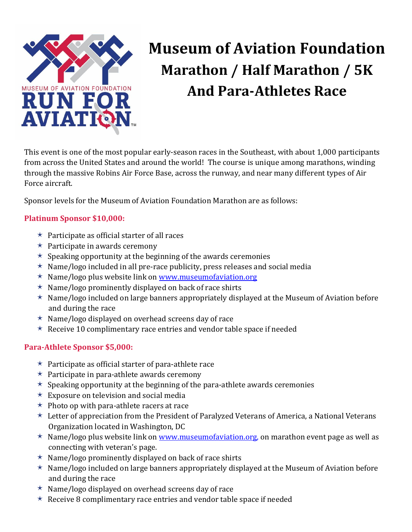

# **Museum of Aviation Foundation Marathon / Half Marathon / 5K And Para-Athletes Race**

This event is one of the most popular early-season races in the Southeast, with about 1,000 participants from across the United States and around the world! The course is unique among marathons, winding through the massive Robins Air Force Base, across the runway, and near many different types of Air Force aircraft.

Sponsor levels for the Museum of Aviation Foundation Marathon are as follows:

# **Platinum Sponsor \$10,000:**

- $\star$  Participate as official starter of all races
- $\star$  Participate in awards ceremony
- $\star$  Speaking opportunity at the beginning of the awards ceremonies
- $\star$  Name/logo included in all pre-race publicity, press releases and social media
- $\star$  Name/logo plus website link on [www.museumofaviation.org](http://www.museumofaviation.org/)
- $\star$  Name/logo prominently displayed on back of race shirts
- $\star$  Name/logo included on large banners appropriately displayed at the Museum of Aviation before and during the race
- $\star$  Name/logo displayed on overhead screens day of race
- $\star$  Receive 10 complimentary race entries and vendor table space if needed

# **Para-Athlete Sponsor \$5,000:**

- $\star$  Participate as official starter of para-athlete race
- $\star$  Participate in para-athlete awards ceremony
- $\star$  Speaking opportunity at the beginning of the para-athlete awards ceremonies
- $\star$  Exposure on television and social media
- $\star$  Photo op with para-athlete racers at race
- $\star$  Letter of appreciation from the President of Paralyzed Veterans of America, a National Veterans Organization located in Washington, DC
- $\star$  Name/logo plus website link on [www.museumofaviation.org,](http://www.museumofaviation.org/) on marathon event page as well as connecting with veteran's page.
- $\star$  Name/logo prominently displayed on back of race shirts
- $\star$  Name/logo included on large banners appropriately displayed at the Museum of Aviation before and during the race
- $\star$  Name/logo displayed on overhead screens day of race
- $\star$  Receive 8 complimentary race entries and vendor table space if needed